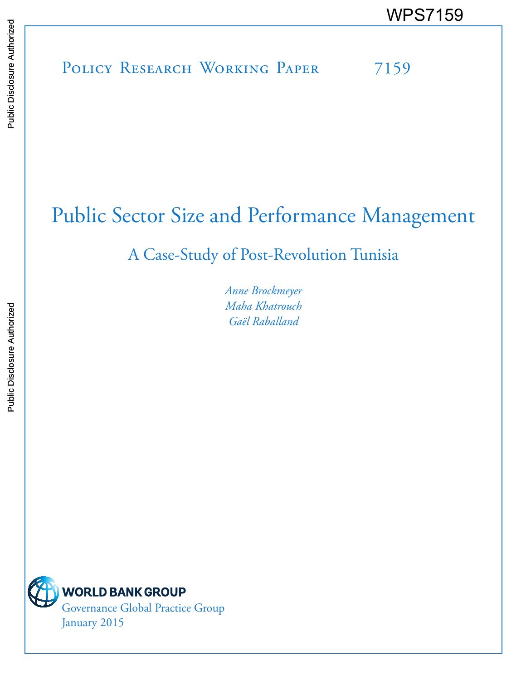# POLICY RESEARCH WORKING PAPER 7159 WPS7159<br>
Media<br>
Media<br>
Policy Research Working Paper 7159<br>
Policy Research Working Paper 7159

## Public Sector Size and Performance Management

## A Case-Study of Post-Revolution Tunisia

*Anne Brockmeyer Maha Khatrouch Gaël Raballand* 

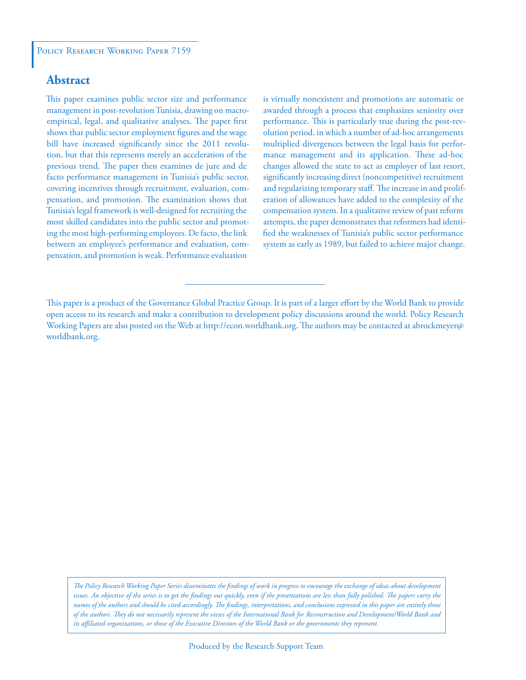#### **Abstract**

This paper examines public sector size and performance management in post-revolution Tunisia, drawing on macroempirical, legal, and qualitative analyses. The paper first shows that public sector employment figures and the wage bill have increased significantly since the 2011 revolution, but that this represents merely an acceleration of the previous trend. The paper then examines de jure and de facto performance management in Tunisia's public sector, covering incentives through recruitment, evaluation, compensation, and promotion. The examination shows that Tunisia's legal framework is well-designed for recruiting the most skilled candidates into the public sector and promoting the most high-performing employees. De facto, the link between an employee's performance and evaluation, compensation, and promotion is weak. Performance evaluation

is virtually nonexistent and promotions are automatic or awarded through a process that emphasizes seniority over performance. This is particularly true during the post-revolution period, in which a number of ad-hoc arrangements multiplied divergences between the legal basis for performance management and its application. These ad-hoc changes allowed the state to act as employer of last resort, significantly increasing direct (noncompetitive) recruitment and regularizing temporary staff. The increase in and proliferation of allowances have added to the complexity of the compensation system. In a qualitative review of past reform attempts, the paper demonstrates that reformers had identified the weaknesses of Tunisia's public sector performance system as early as 1989, but failed to achieve major change.

*The Policy Research Working Paper Series disseminates the findings of work in progress to encourage the exchange of ideas about development*  issues. An objective of the series is to get the findings out quickly, even if the presentations are less than fully polished. The papers carry the *names of the authors and should be cited accordingly. The findings, interpretations, and conclusions expressed in this paper are entirely those of the authors. They do not necessarily represent the views of the International Bank for Reconstruction and Development/World Bank and its affiliated organizations, or those of the Executive Directors of the World Bank or the governments they represent.*

This paper is a product of the Governance Global Practice Group. It is part of a larger effort by the World Bank to provide open access to its research and make a contribution to development policy discussions around the world. Policy Research Working Papers are also posted on the Web at http://econ.worldbank.org. The authors may be contacted at abrockmeyer@ worldbank.org.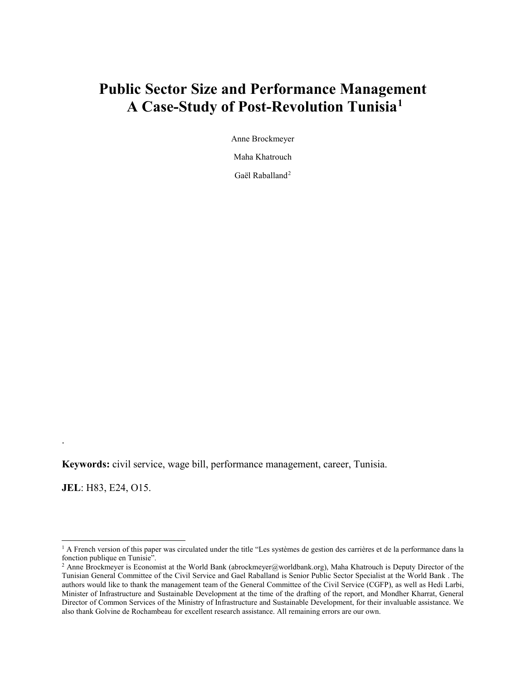### **Public Sector Size and Performance Management A Case-Study of Post-Revolution Tunisia[1](#page-2-0)**

Anne Brockmeyer

Maha Khatrouch

Gaël Raballand<sup>[2](#page-2-1)</sup>

**Keywords:** civil service, wage bill, performance management, career, Tunisia.

**JEL**: H83, E24, O15.

.

 $\overline{a}$ 

<span id="page-2-0"></span><sup>&</sup>lt;sup>1</sup> A French version of this paper was circulated under the title "Les systèmes de gestion des carrières et de la performance dans la fonction publique en Tunisie".

<span id="page-2-1"></span><sup>&</sup>lt;sup>2</sup> Anne Brockmeyer is Economist at the World Bank (abrockmeyer@worldbank.org), Maha Khatrouch is Deputy Director of the Tunisian General Committee of the Civil Service and Gael Raballand is Senior Public Sector Specialist at the World Bank . The authors would like to thank the management team of the General Committee of the Civil Service (CGFP), as well as Hedi Larbi, Minister of Infrastructure and Sustainable Development at the time of the drafting of the report, and Mondher Kharrat, General Director of Common Services of the Ministry of Infrastructure and Sustainable Development, for their invaluable assistance. We also thank Golvine de Rochambeau for excellent research assistance. All remaining errors are our own.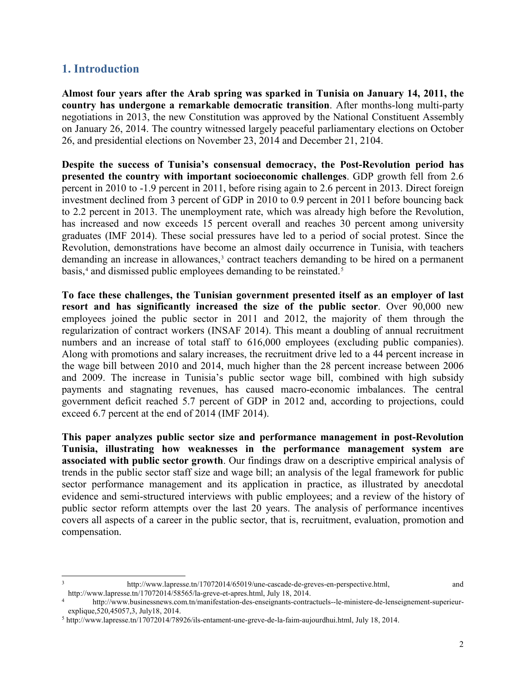#### **1. Introduction**

 $\overline{a}$ 

**Almost four years after the Arab spring was sparked in Tunisia on January 14, 2011, the country has undergone a remarkable democratic transition**. After months-long multi-party negotiations in 2013, the new Constitution was approved by the National Constituent Assembly on January 26, 2014. The country witnessed largely peaceful parliamentary elections on October 26, and presidential elections on November 23, 2014 and December 21, 2104.

**Despite the success of Tunisia's consensual democracy, the Post-Revolution period has presented the country with important socioeconomic challenges**. GDP growth fell from 2.6 percent in 2010 to -1.9 percent in 2011, before rising again to 2.6 percent in 2013. Direct foreign investment declined from 3 percent of GDP in 2010 to 0.9 percent in 2011 before bouncing back to 2.2 percent in 2013. The unemployment rate, which was already high before the Revolution, has increased and now exceeds 15 percent overall and reaches 30 percent among university graduates (IMF 2014). These social pressures have led to a period of social protest. Since the Revolution, demonstrations have become an almost daily occurrence in Tunisia, with teachers demanding an increase in allowances,<sup>[3](#page-3-0)</sup> contract teachers demanding to be hired on a permanent basis,<sup>4</sup> and dismissed public employees demanding to be reinstated.<sup>[5](#page-3-2)</sup>

**To face these challenges, the Tunisian government presented itself as an employer of last resort and has significantly increased the size of the public sector**. Over 90,000 new employees joined the public sector in 2011 and 2012, the majority of them through the regularization of contract workers (INSAF 2014). This meant a doubling of annual recruitment numbers and an increase of total staff to  $616,000$  employees (excluding public companies). Along with promotions and salary increases, the recruitment drive led to a 44 percent increase in the wage bill between 2010 and 2014, much higher than the 28 percent increase between 2006 and 2009. The increase in Tunisia's public sector wage bill, combined with high subsidy payments and stagnating revenues, has caused macro-economic imbalances. The central government deficit reached 5.7 percent of GDP in 2012 and, according to projections, could exceed 6.7 percent at the end of 2014 (IMF 2014).

**This paper analyzes public sector size and performance management in post-Revolution Tunisia, illustrating how weaknesses in the performance management system are associated with public sector growth**. Our findings draw on a descriptive empirical analysis of trends in the public sector staff size and wage bill; an analysis of the legal framework for public sector performance management and its application in practice, as illustrated by anecdotal evidence and semi-structured interviews with public employees; and a review of the history of public sector reform attempts over the last 20 years. The analysis of performance incentives covers all aspects of a career in the public sector, that is, recruitment, evaluation, promotion and compensation.

<span id="page-3-0"></span>[http://www.lapresse.tn/17072014/65019/une-cascade-de-greves-en-perspective.html,](http://www.lapresse.tn/17072014/65019/une-cascade-de-greves-en-perspective.html) and [http://www.lapresse.tn/17072014/58565/la-greve-et-apres.html,](http://www.lapresse.tn/17072014/58565/la-greve-et-apres.html) July 18, 2014.

<span id="page-3-1"></span><sup>4</sup> [http://www.businessnews.com.tn/manifestation-des-enseignants-contractuels--le-ministere-de-lenseignement-superieur](http://www.businessnews.com.tn/manifestation-des-enseignants-contractuels--le-ministere-de-lenseignement-superieur-explique,520,45057,3)[explique,520,45057,3,](http://www.businessnews.com.tn/manifestation-des-enseignants-contractuels--le-ministere-de-lenseignement-superieur-explique,520,45057,3) July18, 2014.

<span id="page-3-2"></span><sup>5</sup> [http://www.lapresse.tn/17072014/78926/ils-entament-une-greve-de-la-faim-aujourdhui.html,](http://www.lapresse.tn/17072014/78926/ils-entament-une-greve-de-la-faim-aujourdhui.html) July 18, 2014.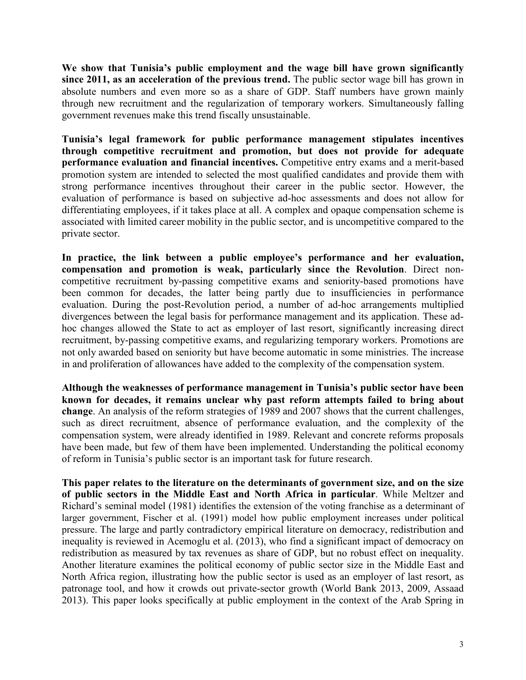**We show that Tunisia's public employment and the wage bill have grown significantly since 2011, as an acceleration of the previous trend.** The public sector wage bill has grown in absolute numbers and even more so as a share of GDP. Staff numbers have grown mainly through new recruitment and the regularization of temporary workers. Simultaneously falling government revenues make this trend fiscally unsustainable.

**Tunisia's legal framework for public performance management stipulates incentives through competitive recruitment and promotion, but does not provide for adequate performance evaluation and financial incentives.** Competitive entry exams and a merit-based promotion system are intended to selected the most qualified candidates and provide them with strong performance incentives throughout their career in the public sector. However, the evaluation of performance is based on subjective ad-hoc assessments and does not allow for differentiating employees, if it takes place at all. A complex and opaque compensation scheme is associated with limited career mobility in the public sector, and is uncompetitive compared to the private sector.

**In practice, the link between a public employee's performance and her evaluation, compensation and promotion is weak, particularly since the Revolution**. Direct noncompetitive recruitment by-passing competitive exams and seniority-based promotions have been common for decades, the latter being partly due to insufficiencies in performance evaluation. During the post-Revolution period, a number of ad-hoc arrangements multiplied divergences between the legal basis for performance management and its application. These adhoc changes allowed the State to act as employer of last resort, significantly increasing direct recruitment, by-passing competitive exams, and regularizing temporary workers. Promotions are not only awarded based on seniority but have become automatic in some ministries. The increase in and proliferation of allowances have added to the complexity of the compensation system.

**Although the weaknesses of performance management in Tunisia's public sector have been known for decades, it remains unclear why past reform attempts failed to bring about change**. An analysis of the reform strategies of 1989 and 2007 shows that the current challenges, such as direct recruitment, absence of performance evaluation, and the complexity of the compensation system, were already identified in 1989. Relevant and concrete reforms proposals have been made, but few of them have been implemented. Understanding the political economy of reform in Tunisia's public sector is an important task for future research.

**This paper relates to the literature on the determinants of government size, and on the size of public sectors in the Middle East and North Africa in particular**. While Meltzer and Richard's seminal model (1981) identifies the extension of the voting franchise as a determinant of larger government, Fischer et al. (1991) model how public employment increases under political pressure. The large and partly contradictory empirical literature on democracy, redistribution and inequality is reviewed in Acemoglu et al. (2013), who find a significant impact of democracy on redistribution as measured by tax revenues as share of GDP, but no robust effect on inequality. Another literature examines the political economy of public sector size in the Middle East and North Africa region, illustrating how the public sector is used as an employer of last resort, as patronage tool, and how it crowds out private-sector growth (World Bank 2013, 2009, Assaad 2013). This paper looks specifically at public employment in the context of the Arab Spring in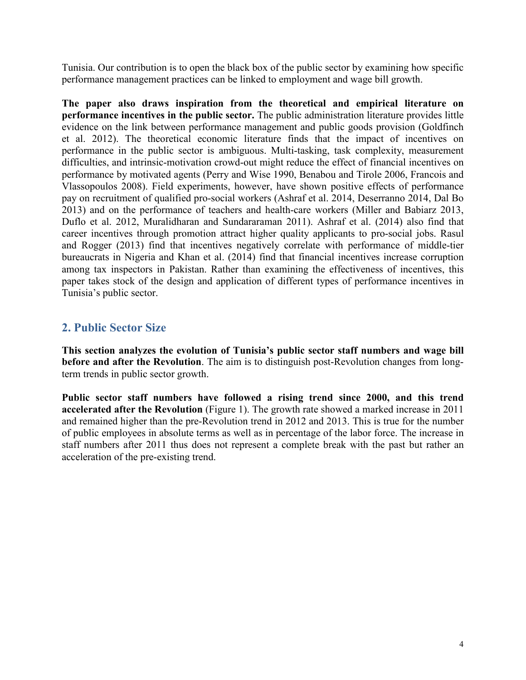Tunisia. Our contribution is to open the black box of the public sector by examining how specific performance management practices can be linked to employment and wage bill growth.

**The paper also draws inspiration from the theoretical and empirical literature on performance incentives in the public sector.** The public administration literature provides little evidence on the link between performance management and public goods provision (Goldfinch et al. 2012). The theoretical economic literature finds that the impact of incentives on performance in the public sector is ambiguous. Multi-tasking, task complexity, measurement difficulties, and intrinsic-motivation crowd-out might reduce the effect of financial incentives on performance by motivated agents (Perry and Wise 1990, Benabou and Tirole 2006, Francois and Vlassopoulos 2008). Field experiments, however, have shown positive effects of performance pay on recruitment of qualified pro-social workers (Ashraf et al. 2014, Deserranno 2014, Dal Bo 2013) and on the performance of teachers and health-care workers (Miller and Babiarz 2013, Duflo et al. 2012, Muralidharan and Sundararaman 2011). Ashraf et al. (2014) also find that career incentives through promotion attract higher quality applicants to pro-social jobs. Rasul and Rogger (2013) find that incentives negatively correlate with performance of middle-tier bureaucrats in Nigeria and Khan et al. (2014) find that financial incentives increase corruption among tax inspectors in Pakistan. Rather than examining the effectiveness of incentives, this paper takes stock of the design and application of different types of performance incentives in Tunisia's public sector.

#### **2. Public Sector Size**

**This section analyzes the evolution of Tunisia's public sector staff numbers and wage bill before and after the Revolution**. The aim is to distinguish post-Revolution changes from longterm trends in public sector growth.

**Public sector staff numbers have followed a rising trend since 2000, and this trend accelerated after the Revolution** (Figure 1). The growth rate showed a marked increase in 2011 and remained higher than the pre-Revolution trend in 2012 and 2013. This is true for the number of public employees in absolute terms as well as in percentage of the labor force. The increase in staff numbers after 2011 thus does not represent a complete break with the past but rather an acceleration of the pre-existing trend.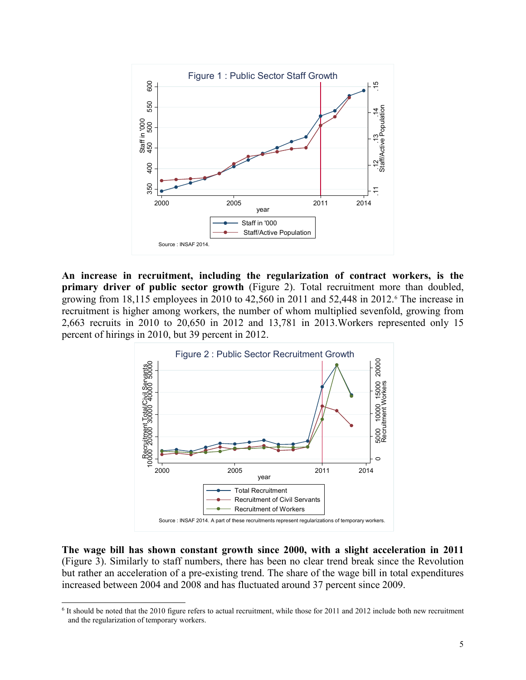

**An increase in recruitment, including the regularization of contract workers, is the primary driver of public sector growth** (Figure 2). Total recruitment more than doubled, growing from  $18,115$  employees in 2010 to  $42,560$  in 2011 and  $52,448$  in 2012.<sup>6</sup> The increase in recruitment is higher among workers, the number of whom multiplied sevenfold, growing from 2,663 recruits in 2010 to 20,650 in 2012 and 13,781 in 2013.Workers represented only 15 percent of hirings in 2010, but 39 percent in 2012.



**The wage bill has shown constant growth since 2000, with a slight acceleration in 2011** (Figure 3). Similarly to staff numbers, there has been no clear trend break since the Revolution but rather an acceleration of a pre-existing trend. The share of the wage bill in total expenditures increased between 2004 and 2008 and has fluctuated around 37 percent since 2009.

 $\overline{a}$ 

<span id="page-6-0"></span><sup>6</sup> It should be noted that the 2010 figure refers to actual recruitment, while those for 2011 and 2012 include both new recruitment and the regularization of temporary workers.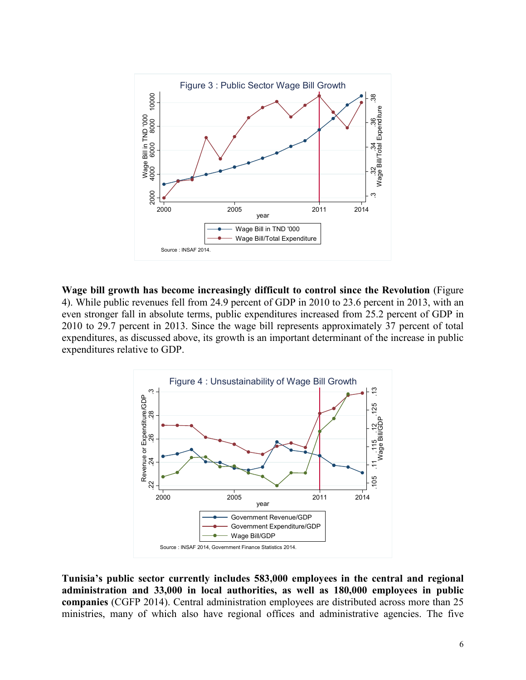

**Wage bill growth has become increasingly difficult to control since the Revolution** (Figure 4). While public revenues fell from 24.9 percent of GDP in 2010 to 23.6 percent in 2013, with an even stronger fall in absolute terms, public expenditures increased from 25.2 percent of GDP in 2010 to 29.7 percent in 2013. Since the wage bill represents approximately 37 percent of total expenditures, as discussed above, its growth is an important determinant of the increase in public expenditures relative to GDP.



**Tunisia's public sector currently includes 583,000 employees in the central and regional administration and 33,000 in local authorities, as well as 180,000 employees in public companies** (CGFP 2014). Central administration employees are distributed across more than 25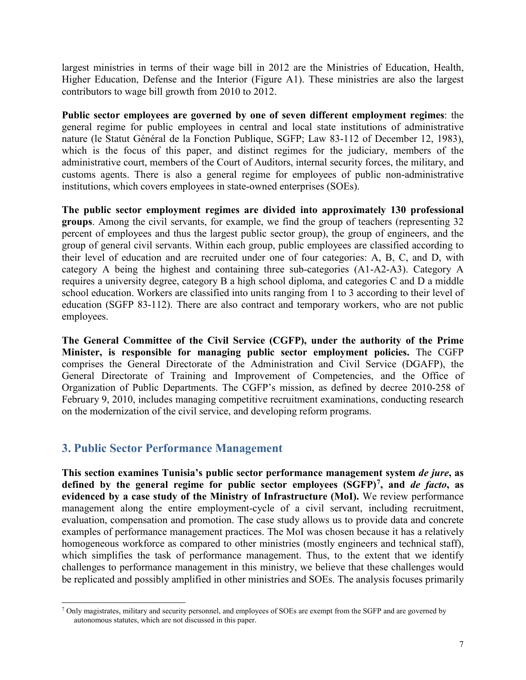largest ministries in terms of their wage bill in 2012 are the Ministries of Education, Health, Higher Education, Defense and the Interior (Figure A1). These ministries are also the largest contributors to wage bill growth from 2010 to 2012.

**Public sector employees are governed by one of seven different employment regimes**: the general regime for public employees in central and local state institutions of administrative nature (le Statut Général de la Fonction Publique, SGFP; Law 83-112 of December 12, 1983), which is the focus of this paper, and distinct regimes for the judiciary, members of the administrative court, members of the Court of Auditors, internal security forces, the military, and customs agents. There is also a general regime for employees of public non-administrative institutions, which covers employees in state-owned enterprises (SOEs).

**The public sector employment regimes are divided into approximately 130 professional groups**. Among the civil servants, for example, we find the group of teachers (representing 32 percent of employees and thus the largest public sector group), the group of engineers, and the group of general civil servants. Within each group, public employees are classified according to their level of education and are recruited under one of four categories: A, B, C, and D, with category A being the highest and containing three sub-categories (A1-A2-A3). Category A requires a university degree, category B a high school diploma, and categories C and D a middle school education. Workers are classified into units ranging from 1 to 3 according to their level of education (SGFP 83-112). There are also contract and temporary workers, who are not public employees.

**The General Committee of the Civil Service (CGFP), under the authority of the Prime Minister, is responsible for managing public sector employment policies.** The CGFP comprises the General Directorate of the Administration and Civil Service (DGAFP), the General Directorate of Training and Improvement of Competencies, and the Office of Organization of Public Departments. The CGFP's mission, as defined by decree 2010-258 of February 9, 2010, includes managing competitive recruitment examinations, conducting research on the modernization of the civil service, and developing reform programs.

#### **3. Public Sector Performance Management**

**This section examines Tunisia's public sector performance management system** *de jure***, as defined by the general regime for public sector employees (SGFP)[7,](#page-8-0) and** *de facto***, as evidenced by a case study of the Ministry of Infrastructure (MoI).** We review performance management along the entire employment-cycle of a civil servant, including recruitment, evaluation, compensation and promotion. The case study allows us to provide data and concrete examples of performance management practices. The MoI was chosen because it has a relatively homogeneous workforce as compared to other ministries (mostly engineers and technical staff), which simplifies the task of performance management. Thus, to the extent that we identify challenges to performance management in this ministry, we believe that these challenges would be replicated and possibly amplified in other ministries and SOEs. The analysis focuses primarily

<span id="page-8-0"></span><sup>7</sup> Only magistrates, military and security personnel, and employees of SOEs are exempt from the SGFP and are governed by autonomous statutes, which are not discussed in this paper.  $\overline{a}$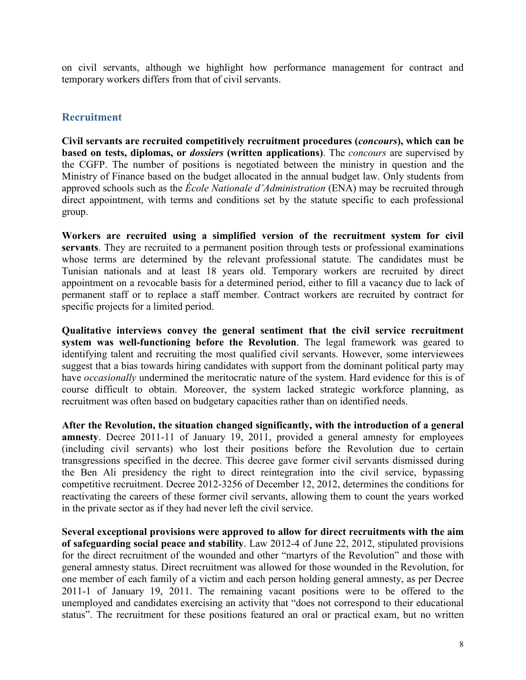on civil servants, although we highlight how performance management for contract and temporary workers differs from that of civil servants.

#### **Recruitment**

**Civil servants are recruited competitively recruitment procedures (***concours***), which can be based on tests, diplomas, or** *dossiers* **(written applications)**. The *concours* are supervised by the CGFP. The number of positions is negotiated between the ministry in question and the Ministry of Finance based on the budget allocated in the annual budget law. Only students from approved schools such as the *École Nationale d'Administration* (ENA) may be recruited through direct appointment, with terms and conditions set by the statute specific to each professional group.

**Workers are recruited using a simplified version of the recruitment system for civil servants**. They are recruited to a permanent position through tests or professional examinations whose terms are determined by the relevant professional statute. The candidates must be Tunisian nationals and at least 18 years old. Temporary workers are recruited by direct appointment on a revocable basis for a determined period, either to fill a vacancy due to lack of permanent staff or to replace a staff member. Contract workers are recruited by contract for specific projects for a limited period.

**Qualitative interviews convey the general sentiment that the civil service recruitment system was well-functioning before the Revolution**. The legal framework was geared to identifying talent and recruiting the most qualified civil servants. However, some interviewees suggest that a bias towards hiring candidates with support from the dominant political party may have *occasionally* undermined the meritocratic nature of the system. Hard evidence for this is of course difficult to obtain. Moreover, the system lacked strategic workforce planning, as recruitment was often based on budgetary capacities rather than on identified needs.

**After the Revolution, the situation changed significantly, with the introduction of a general amnesty**. Decree 2011-11 of January 19, 2011, provided a general amnesty for employees (including civil servants) who lost their positions before the Revolution due to certain transgressions specified in the decree. This decree gave former civil servants dismissed during the Ben Ali presidency the right to direct reintegration into the civil service, bypassing competitive recruitment. Decree 2012-3256 of December 12, 2012, determines the conditions for reactivating the careers of these former civil servants, allowing them to count the years worked in the private sector as if they had never left the civil service.

**Several exceptional provisions were approved to allow for direct recruitments with the aim of safeguarding social peace and stability**. Law 2012-4 of June 22, 2012, stipulated provisions for the direct recruitment of the wounded and other "martyrs of the Revolution" and those with general amnesty status. Direct recruitment was allowed for those wounded in the Revolution, for one member of each family of a victim and each person holding general amnesty, as per Decree 2011-1 of January 19, 2011. The remaining vacant positions were to be offered to the unemployed and candidates exercising an activity that "does not correspond to their educational status". The recruitment for these positions featured an oral or practical exam, but no written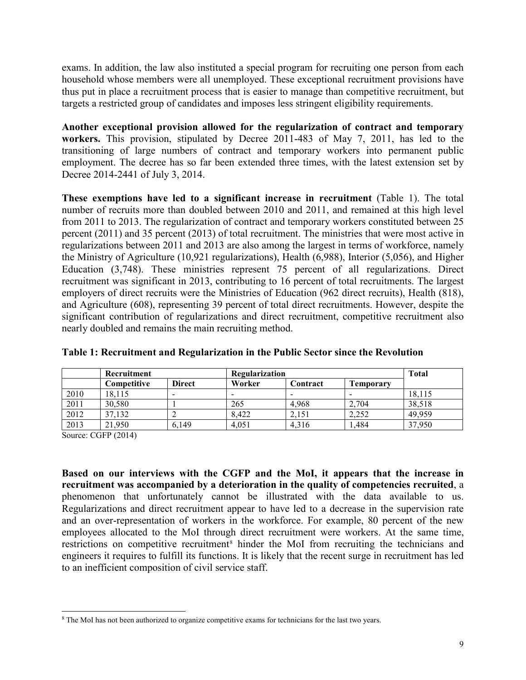exams. In addition, the law also instituted a special program for recruiting one person from each household whose members were all unemployed. These exceptional recruitment provisions have thus put in place a recruitment process that is easier to manage than competitive recruitment, but targets a restricted group of candidates and imposes less stringent eligibility requirements.

**Another exceptional provision allowed for the regularization of contract and temporary workers.** This provision, stipulated by Decree 2011-483 of May 7, 2011, has led to the transitioning of large numbers of contract and temporary workers into permanent public employment. The decree has so far been extended three times, with the latest extension set by Decree 2014-2441 of July 3, 2014.

**These exemptions have led to a significant increase in recruitment** (Table 1). The total number of recruits more than doubled between 2010 and 2011, and remained at this high level from 2011 to 2013. The regularization of contract and temporary workers constituted between 25 percent (2011) and 35 percent (2013) of total recruitment. The ministries that were most active in regularizations between 2011 and 2013 are also among the largest in terms of workforce, namely the Ministry of Agriculture (10,921 regularizations), Health (6,988), Interior (5,056), and Higher Education (3,748). These ministries represent 75 percent of all regularizations. Direct recruitment was significant in 2013, contributing to 16 percent of total recruitments. The largest employers of direct recruits were the Ministries of Education (962 direct recruits), Health (818), and Agriculture (608), representing 39 percent of total direct recruitments. However, despite the significant contribution of regularizations and direct recruitment, competitive recruitment also nearly doubled and remains the main recruiting method.

|      | Recruitment        |               | Regularization |          |           | <b>Total</b> |
|------|--------------------|---------------|----------------|----------|-----------|--------------|
|      | <b>Competitive</b> | <b>Direct</b> | Worker         | Contract | Temporary |              |
| 2010 | 18.115             |               |                |          |           | 18,115       |
| 2011 | 30,580             |               | 265            | 4.968    | 2.704     | 38,518       |
| 2012 | 37,132             |               | 8.422          | 2,151    | 2,252     | 49,959       |
| 2013 | 21,950             | 6.149         | 4.051          | 4.316    | 1,484     | 37,950       |

#### **Table 1: Recruitment and Regularization in the Public Sector since the Revolution**

Source: CGFP (2014)

**Based on our interviews with the CGFP and the MoI, it appears that the increase in recruitment was accompanied by a deterioration in the quality of competencies recruited**, a phenomenon that unfortunately cannot be illustrated with the data available to us. Regularizations and direct recruitment appear to have led to a decrease in the supervision rate and an over-representation of workers in the workforce. For example, 80 percent of the new employees allocated to the MoI through direct recruitment were workers. At the same time, restrictions on competitive recruitment<sup>[8](#page-10-0)</sup> hinder the MoI from recruiting the technicians and engineers it requires to fulfill its functions. It is likely that the recent surge in recruitment has led to an inefficient composition of civil service staff.

<span id="page-10-0"></span><sup>&</sup>lt;sup>8</sup> The MoI has not been authorized to organize competitive exams for technicians for the last two years.  $\overline{a}$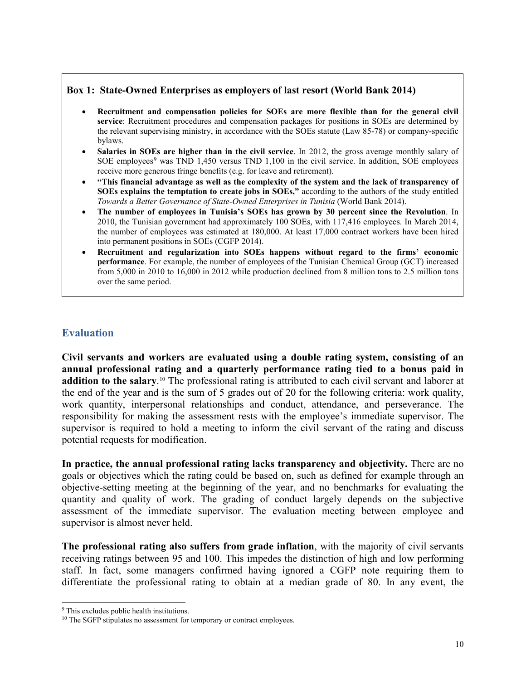#### **Box 1: State-Owned Enterprises as employers of last resort (World Bank 2014)**

- **Recruitment and compensation policies for SOEs are more flexible than for the general civil service**: Recruitment procedures and compensation packages for positions in SOEs are determined by the relevant supervising ministry, in accordance with the SOEs statute (Law 85-78) or company-specific bylaws.
- **Salaries in SOEs are higher than in the civil service**. In 2012, the gross average monthly salary of SOE employees<sup>[9](#page-11-0)</sup> was TND 1,450 versus TND 1,100 in the civil service. In addition, SOE employees receive more generous fringe benefits (e.g. for leave and retirement).
- **"This financial advantage as well as the complexity of the system and the lack of transparency of SOEs explains the temptation to create jobs in SOEs,"** according to the authors of the study entitled *Towards a Better Governance of State-Owned Enterprises in Tunisia* (World Bank 2014).
- **The number of employees in Tunisia's SOEs has grown by 30 percent since the Revolution**. In 2010, the Tunisian government had approximately 100 SOEs, with 117,416 employees. In March 2014, the number of employees was estimated at 180,000. At least 17,000 contract workers have been hired into permanent positions in SOEs (CGFP 2014).
- **Recruitment and regularization into SOEs happens without regard to the firms' economic performance**. For example, the number of employees of the Tunisian Chemical Group (GCT) increased from 5,000 in 2010 to 16,000 in 2012 while production declined from 8 million tons to 2.5 million tons over the same period.

#### **Evaluation**

**Civil servants and workers are evaluated using a double rating system, consisting of an annual professional rating and a quarterly performance rating tied to a bonus paid in addition to the salary**. [10](#page-11-1) The professional rating is attributed to each civil servant and laborer at the end of the year and is the sum of 5 grades out of 20 for the following criteria: work quality, work quantity, interpersonal relationships and conduct, attendance, and perseverance. The responsibility for making the assessment rests with the employee's immediate supervisor. The supervisor is required to hold a meeting to inform the civil servant of the rating and discuss potential requests for modification.

**In practice, the annual professional rating lacks transparency and objectivity.** There are no goals or objectives which the rating could be based on, such as defined for example through an objective-setting meeting at the beginning of the year, and no benchmarks for evaluating the quantity and quality of work. The grading of conduct largely depends on the subjective assessment of the immediate supervisor. The evaluation meeting between employee and supervisor is almost never held.

**The professional rating also suffers from grade inflation**, with the majority of civil servants receiving ratings between 95 and 100. This impedes the distinction of high and low performing staff. In fact, some managers confirmed having ignored a CGFP note requiring them to differentiate the professional rating to obtain at a median grade of 80. In any event, the

 $\overline{a}$ 

<span id="page-11-0"></span><sup>&</sup>lt;sup>9</sup> This excludes public health institutions.

<span id="page-11-1"></span><sup>&</sup>lt;sup>10</sup> The SGFP stipulates no assessment for temporary or contract employees.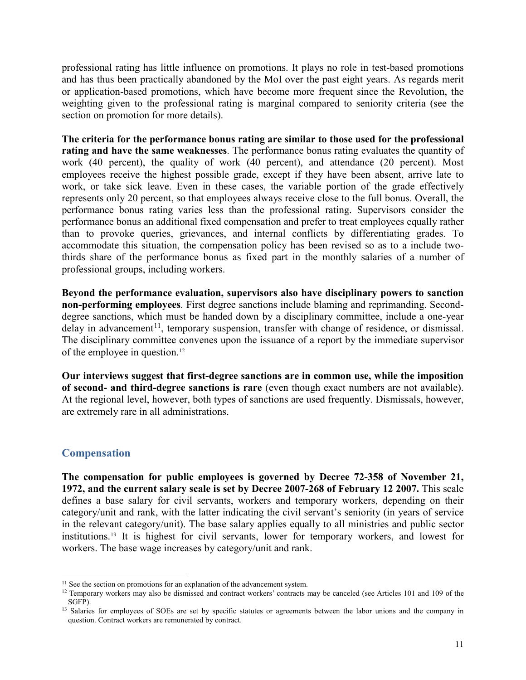professional rating has little influence on promotions. It plays no role in test-based promotions and has thus been practically abandoned by the MoI over the past eight years. As regards merit or application-based promotions, which have become more frequent since the Revolution, the weighting given to the professional rating is marginal compared to seniority criteria (see the section on promotion for more details).

**The criteria for the performance bonus rating are similar to those used for the professional rating and have the same weaknesses**. The performance bonus rating evaluates the quantity of work (40 percent), the quality of work (40 percent), and attendance (20 percent). Most employees receive the highest possible grade, except if they have been absent, arrive late to work, or take sick leave. Even in these cases, the variable portion of the grade effectively represents only 20 percent, so that employees always receive close to the full bonus. Overall, the performance bonus rating varies less than the professional rating. Supervisors consider the performance bonus an additional fixed compensation and prefer to treat employees equally rather than to provoke queries, grievances, and internal conflicts by differentiating grades. To accommodate this situation, the compensation policy has been revised so as to a include twothirds share of the performance bonus as fixed part in the monthly salaries of a number of professional groups, including workers.

**Beyond the performance evaluation, supervisors also have disciplinary powers to sanction non-performing employees**. First degree sanctions include blaming and reprimanding. Seconddegree sanctions, which must be handed down by a disciplinary committee, include a one-year  $delay$  in advancement<sup>[11](#page-12-0)</sup>, temporary suspension, transfer with change of residence, or dismissal. The disciplinary committee convenes upon the issuance of a report by the immediate supervisor of the employee in question.[12](#page-12-1)

**Our interviews suggest that first-degree sanctions are in common use, while the imposition of second- and third-degree sanctions is rare** (even though exact numbers are not available). At the regional level, however, both types of sanctions are used frequently. Dismissals, however, are extremely rare in all administrations.

#### **Compensation**

 $\overline{a}$ 

**The compensation for public employees is governed by Decree 72-358 of November 21, 1972, and the current salary scale is set by Decree 2007-268 of February 12 2007.** This scale defines a base salary for civil servants, workers and temporary workers, depending on their category/unit and rank, with the latter indicating the civil servant's seniority (in years of service in the relevant category/unit). The base salary applies equally to all ministries and public sector institutions.[13](#page-12-2) It is highest for civil servants, lower for temporary workers, and lowest for workers. The base wage increases by category/unit and rank.

<span id="page-12-1"></span><span id="page-12-0"></span><sup>&</sup>lt;sup>11</sup> See the section on promotions for an explanation of the advancement system.<br><sup>12</sup> Temporary workers may also be dismissed and contract workers' contracts may be canceled (see Articles 101 and 109 of the SGFP).

<span id="page-12-2"></span><sup>&</sup>lt;sup>13</sup> Salaries for employees of SOEs are set by specific statutes or agreements between the labor unions and the company in question. Contract workers are remunerated by contract.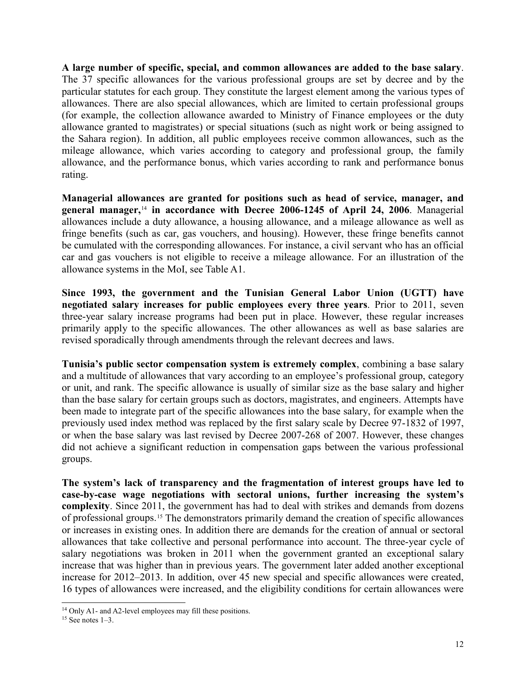**A large number of specific, special, and common allowances are added to the base salary**. The 37 specific allowances for the various professional groups are set by decree and by the particular statutes for each group. They constitute the largest element among the various types of allowances. There are also special allowances, which are limited to certain professional groups (for example, the collection allowance awarded to Ministry of Finance employees or the duty allowance granted to magistrates) or special situations (such as night work or being assigned to the Sahara region). In addition, all public employees receive common allowances, such as the mileage allowance, which varies according to category and professional group, the family allowance, and the performance bonus, which varies according to rank and performance bonus rating.

**Managerial allowances are granted for positions such as head of service, manager, and general manager,**[14](#page-13-0) **in accordance with Decree 2006-1245 of April 24, 2006**. Managerial allowances include a duty allowance, a housing allowance, and a mileage allowance as well as fringe benefits (such as car, gas vouchers, and housing). However, these fringe benefits cannot be cumulated with the corresponding allowances. For instance, a civil servant who has an official car and gas vouchers is not eligible to receive a mileage allowance. For an illustration of the allowance systems in the MoI, see Table A1.

**Since 1993, the government and the Tunisian General Labor Union (UGTT) have negotiated salary increases for public employees every three years**. Prior to 2011, seven three-year salary increase programs had been put in place. However, these regular increases primarily apply to the specific allowances. The other allowances as well as base salaries are revised sporadically through amendments through the relevant decrees and laws.

**Tunisia's public sector compensation system is extremely complex**, combining a base salary and a multitude of allowances that vary according to an employee's professional group, category or unit, and rank. The specific allowance is usually of similar size as the base salary and higher than the base salary for certain groups such as doctors, magistrates, and engineers. Attempts have been made to integrate part of the specific allowances into the base salary, for example when the previously used index method was replaced by the first salary scale by Decree 97-1832 of 1997, or when the base salary was last revised by Decree 2007-268 of 2007. However, these changes did not achieve a significant reduction in compensation gaps between the various professional groups.

**The system's lack of transparency and the fragmentation of interest groups have led to case-by-case wage negotiations with sectoral unions, further increasing the system's complexity**. Since 2011, the government has had to deal with strikes and demands from dozens of professional groups.[15](#page-13-1) The demonstrators primarily demand the creation of specific allowances or increases in existing ones. In addition there are demands for the creation of annual or sectoral allowances that take collective and personal performance into account. The three-year cycle of salary negotiations was broken in 2011 when the government granted an exceptional salary increase that was higher than in previous years. The government later added another exceptional increase for 2012–2013. In addition, over 45 new special and specific allowances were created, 16 types of allowances were increased, and the eligibility conditions for certain allowances were

 $\overline{a}$ 

<span id="page-13-0"></span><sup>&</sup>lt;sup>14</sup> Only A1- and A2-level employees may fill these positions.

<span id="page-13-1"></span> $15$  See notes  $1-3$ .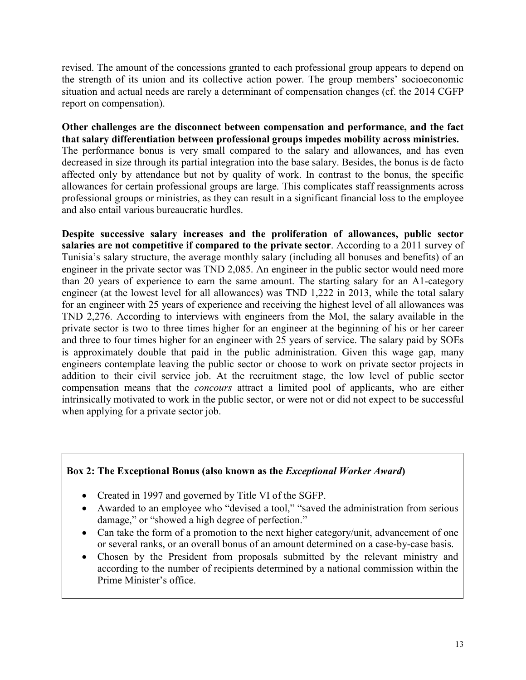revised. The amount of the concessions granted to each professional group appears to depend on the strength of its union and its collective action power. The group members' socioeconomic situation and actual needs are rarely a determinant of compensation changes (cf. the 2014 CGFP report on compensation).

**Other challenges are the disconnect between compensation and performance, and the fact that salary differentiation between professional groups impedes mobility across ministries.** The performance bonus is very small compared to the salary and allowances, and has even decreased in size through its partial integration into the base salary. Besides, the bonus is de facto affected only by attendance but not by quality of work. In contrast to the bonus, the specific allowances for certain professional groups are large. This complicates staff reassignments across professional groups or ministries, as they can result in a significant financial loss to the employee and also entail various bureaucratic hurdles.

**Despite successive salary increases and the proliferation of allowances, public sector salaries are not competitive if compared to the private sector**. According to a 2011 survey of Tunisia's salary structure, the average monthly salary (including all bonuses and benefits) of an engineer in the private sector was TND 2,085. An engineer in the public sector would need more than 20 years of experience to earn the same amount. The starting salary for an A1-category engineer (at the lowest level for all allowances) was TND 1,222 in 2013, while the total salary for an engineer with 25 years of experience and receiving the highest level of all allowances was TND 2,276. According to interviews with engineers from the MoI, the salary available in the private sector is two to three times higher for an engineer at the beginning of his or her career and three to four times higher for an engineer with 25 years of service. The salary paid by SOEs is approximately double that paid in the public administration. Given this wage gap, many engineers contemplate leaving the public sector or choose to work on private sector projects in addition to their civil service job. At the recruitment stage, the low level of public sector compensation means that the *concours* attract a limited pool of applicants, who are either intrinsically motivated to work in the public sector, or were not or did not expect to be successful when applying for a private sector job.

#### **Box 2: The Exceptional Bonus (also known as the** *Exceptional Worker Award***)**

- Created in 1997 and governed by Title VI of the SGFP.
- Awarded to an employee who "devised a tool," "saved the administration from serious damage," or "showed a high degree of perfection."
- Can take the form of a promotion to the next higher category/unit, advancement of one or several ranks, or an overall bonus of an amount determined on a case-by-case basis.
- Chosen by the President from proposals submitted by the relevant ministry and according to the number of recipients determined by a national commission within the Prime Minister's office.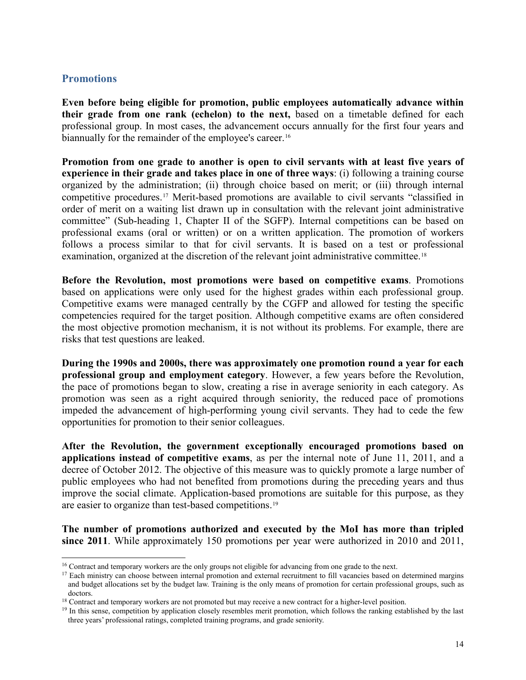#### **Promotions**

 $\overline{a}$ 

**Even before being eligible for promotion, public employees automatically advance within their grade from one rank (echelon) to the next,** based on a timetable defined for each professional group. In most cases, the advancement occurs annually for the first four years and biannually for the remainder of the employee's career.<sup>[16](#page-15-0)</sup>

**Promotion from one grade to another is open to civil servants with at least five years of experience in their grade and takes place in one of three ways**: (i) following a training course organized by the administration; (ii) through choice based on merit; or (iii) through internal competitive procedures.[17](#page-15-1) Merit-based promotions are available to civil servants "classified in order of merit on a waiting list drawn up in consultation with the relevant joint administrative committee" (Sub-heading 1, Chapter II of the SGFP). Internal competitions can be based on professional exams (oral or written) or on a written application. The promotion of workers follows a process similar to that for civil servants. It is based on a test or professional examination, organized at the discretion of the relevant joint administrative committee.<sup>[18](#page-15-2)</sup>

**Before the Revolution, most promotions were based on competitive exams**. Promotions based on applications were only used for the highest grades within each professional group. Competitive exams were managed centrally by the CGFP and allowed for testing the specific competencies required for the target position. Although competitive exams are often considered the most objective promotion mechanism, it is not without its problems. For example, there are risks that test questions are leaked.

**During the 1990s and 2000s, there was approximately one promotion round a year for each professional group and employment category**. However, a few years before the Revolution, the pace of promotions began to slow, creating a rise in average seniority in each category. As promotion was seen as a right acquired through seniority, the reduced pace of promotions impeded the advancement of high-performing young civil servants. They had to cede the few opportunities for promotion to their senior colleagues.

**After the Revolution, the government exceptionally encouraged promotions based on applications instead of competitive exams**, as per the internal note of June 11, 2011, and a decree of October 2012. The objective of this measure was to quickly promote a large number of public employees who had not benefited from promotions during the preceding years and thus improve the social climate. Application-based promotions are suitable for this purpose, as they are easier to organize than test-based competitions.[19](#page-15-3)

**The number of promotions authorized and executed by the MoI has more than tripled since 2011**. While approximately 150 promotions per year were authorized in 2010 and 2011,

<span id="page-15-1"></span><span id="page-15-0"></span><sup>&</sup>lt;sup>16</sup> Contract and temporary workers are the only groups not eligible for advancing from one grade to the next.

 $17$  Each ministry can choose between internal promotion and external recruitment to fill vacancies based on determined margins and budget allocations set by the budget law. Training is the only means of promotion for certain professional groups, such as doctors.

<span id="page-15-2"></span><sup>18</sup> Contract and temporary workers are not promoted but may receive a new contract for a higher-level position.

<span id="page-15-3"></span><sup>&</sup>lt;sup>19</sup> In this sense, competition by application closely resembles merit promotion, which follows the ranking established by the last three years' professional ratings, completed training programs, and grade seniority.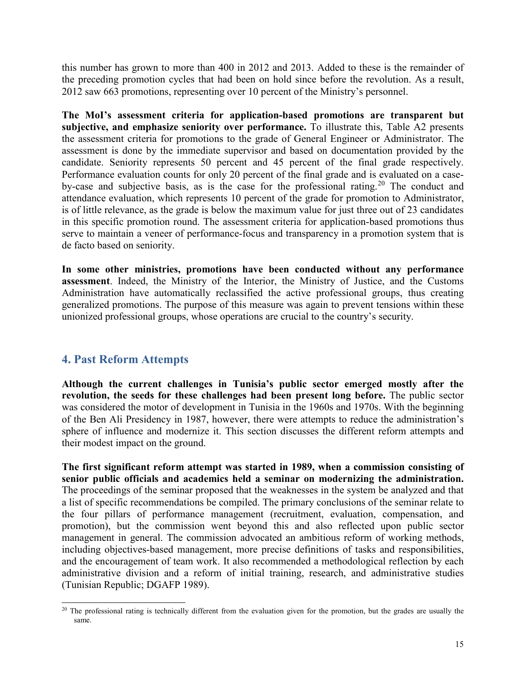this number has grown to more than 400 in 2012 and 2013. Added to these is the remainder of the preceding promotion cycles that had been on hold since before the revolution. As a result, 2012 saw 663 promotions, representing over 10 percent of the Ministry's personnel.

**The MoI's assessment criteria for application-based promotions are transparent but subjective, and emphasize seniority over performance.** To illustrate this, Table A2 presents the assessment criteria for promotions to the grade of General Engineer or Administrator. The assessment is done by the immediate supervisor and based on documentation provided by the candidate. Seniority represents 50 percent and 45 percent of the final grade respectively. Performance evaluation counts for only 20 percent of the final grade and is evaluated on a case-by-case and subjective basis, as is the case for the professional rating.<sup>[20](#page-16-0)</sup> The conduct and attendance evaluation, which represents 10 percent of the grade for promotion to Administrator, is of little relevance, as the grade is below the maximum value for just three out of 23 candidates in this specific promotion round. The assessment criteria for application-based promotions thus serve to maintain a veneer of performance-focus and transparency in a promotion system that is de facto based on seniority.

**In some other ministries, promotions have been conducted without any performance assessment**. Indeed, the Ministry of the Interior, the Ministry of Justice, and the Customs Administration have automatically reclassified the active professional groups, thus creating generalized promotions. The purpose of this measure was again to prevent tensions within these unionized professional groups, whose operations are crucial to the country's security.

#### **4. Past Reform Attempts**

**Although the current challenges in Tunisia's public sector emerged mostly after the revolution, the seeds for these challenges had been present long before.** The public sector was considered the motor of development in Tunisia in the 1960s and 1970s. With the beginning of the Ben Ali Presidency in 1987, however, there were attempts to reduce the administration's sphere of influence and modernize it. This section discusses the different reform attempts and their modest impact on the ground.

**The first significant reform attempt was started in 1989, when a commission consisting of senior public officials and academics held a seminar on modernizing the administration.**  The proceedings of the seminar proposed that the weaknesses in the system be analyzed and that a list of specific recommendations be compiled. The primary conclusions of the seminar relate to the four pillars of performance management (recruitment, evaluation, compensation, and promotion), but the commission went beyond this and also reflected upon public sector management in general. The commission advocated an ambitious reform of working methods, including objectives-based management, more precise definitions of tasks and responsibilities, and the encouragement of team work. It also recommended a methodological reflection by each administrative division and a reform of initial training, research, and administrative studies (Tunisian Republic; DGAFP 1989).

<span id="page-16-0"></span> $20$  The professional rating is technically different from the evaluation given for the promotion, but the grades are usually the same.  $\overline{a}$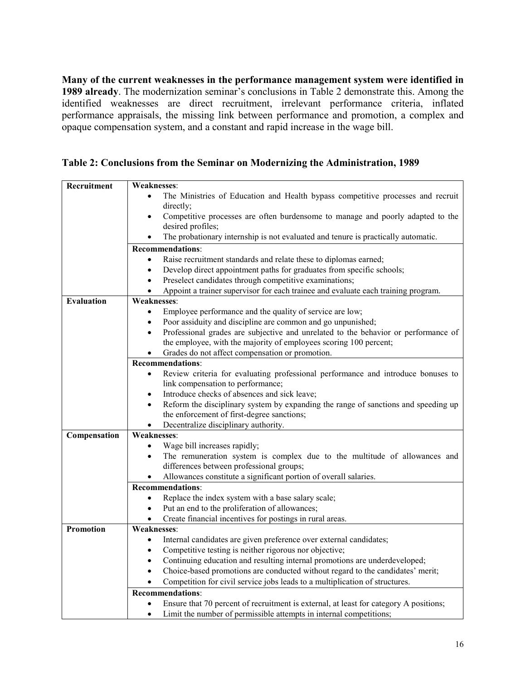**Many of the current weaknesses in the performance management system were identified in 1989 already**. The modernization seminar's conclusions in Table 2 demonstrate this. Among the identified weaknesses are direct recruitment, irrelevant performance criteria, inflated performance appraisals, the missing link between performance and promotion, a complex and opaque compensation system, and a constant and rapid increase in the wage bill.

| Table 2: Conclusions from the Seminar on Modernizing the Administration, 1989 |  |  |  |  |
|-------------------------------------------------------------------------------|--|--|--|--|
|-------------------------------------------------------------------------------|--|--|--|--|

| Recruitment       | Weaknesses:                                                                                     |  |  |  |
|-------------------|-------------------------------------------------------------------------------------------------|--|--|--|
|                   | The Ministries of Education and Health bypass competitive processes and recruit                 |  |  |  |
|                   | directly;                                                                                       |  |  |  |
|                   | Competitive processes are often burdensome to manage and poorly adapted to the<br>$\bullet$     |  |  |  |
|                   | desired profiles;                                                                               |  |  |  |
|                   | The probationary internship is not evaluated and tenure is practically automatic.               |  |  |  |
|                   | <b>Recommendations:</b>                                                                         |  |  |  |
|                   | Raise recruitment standards and relate these to diplomas earned;<br>$\bullet$                   |  |  |  |
|                   | Develop direct appointment paths for graduates from specific schools;<br>$\bullet$              |  |  |  |
|                   | Preselect candidates through competitive examinations;<br>$\bullet$                             |  |  |  |
|                   | Appoint a trainer supervisor for each trainee and evaluate each training program.<br>$\bullet$  |  |  |  |
| <b>Evaluation</b> | <b>Weaknesses:</b>                                                                              |  |  |  |
|                   | Employee performance and the quality of service are low;<br>$\bullet$                           |  |  |  |
|                   | Poor assiduity and discipline are common and go unpunished;                                     |  |  |  |
|                   | Professional grades are subjective and unrelated to the behavior or performance of<br>$\bullet$ |  |  |  |
|                   | the employee, with the majority of employees scoring 100 percent;                               |  |  |  |
|                   | Grades do not affect compensation or promotion.                                                 |  |  |  |
|                   | <b>Recommendations:</b>                                                                         |  |  |  |
|                   | Review criteria for evaluating professional performance and introduce bonuses to<br>$\bullet$   |  |  |  |
|                   | link compensation to performance;                                                               |  |  |  |
|                   | Introduce checks of absences and sick leave;<br>$\bullet$                                       |  |  |  |
|                   | Reform the disciplinary system by expanding the range of sanctions and speeding up<br>$\bullet$ |  |  |  |
|                   | the enforcement of first-degree sanctions;                                                      |  |  |  |
|                   | Decentralize disciplinary authority.                                                            |  |  |  |
| Compensation      | <b>Weaknesses:</b>                                                                              |  |  |  |
|                   | Wage bill increases rapidly;<br>$\bullet$                                                       |  |  |  |
|                   | The remuneration system is complex due to the multitude of allowances and<br>$\bullet$          |  |  |  |
|                   | differences between professional groups;                                                        |  |  |  |
|                   | Allowances constitute a significant portion of overall salaries.<br>$\bullet$                   |  |  |  |
|                   | Recommendations:                                                                                |  |  |  |
|                   | Replace the index system with a base salary scale;<br>$\bullet$                                 |  |  |  |
|                   | Put an end to the proliferation of allowances;                                                  |  |  |  |
|                   | Create financial incentives for postings in rural areas.                                        |  |  |  |
| <b>Promotion</b>  | <b>Weaknesses:</b>                                                                              |  |  |  |
|                   | Internal candidates are given preference over external candidates;<br>$\bullet$                 |  |  |  |
|                   | Competitive testing is neither rigorous nor objective;<br>٠                                     |  |  |  |
|                   | Continuing education and resulting internal promotions are underdeveloped;                      |  |  |  |
|                   | Choice-based promotions are conducted without regard to the candidates' merit;<br>$\bullet$     |  |  |  |
|                   | Competition for civil service jobs leads to a multiplication of structures.                     |  |  |  |
|                   | <b>Recommendations:</b>                                                                         |  |  |  |
|                   | Ensure that 70 percent of recruitment is external, at least for category A positions;           |  |  |  |
|                   | Limit the number of permissible attempts in internal competitions;<br>$\bullet$                 |  |  |  |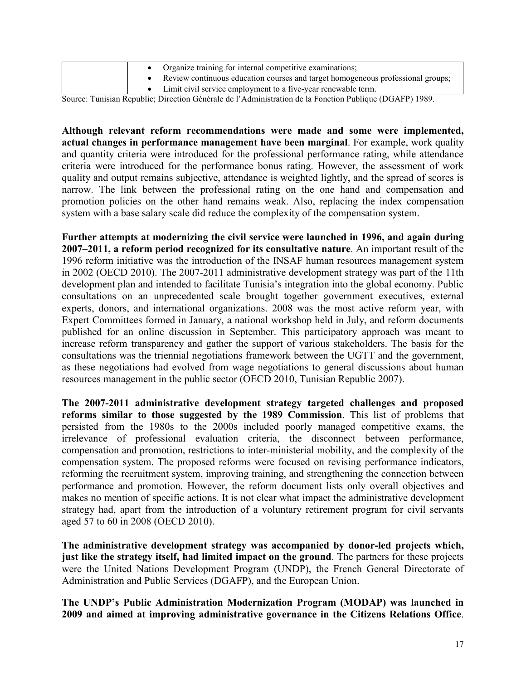| Organize training for internal competitive examinations;                        |
|---------------------------------------------------------------------------------|
| Review continuous education courses and target homogeneous professional groups; |
| Limit civil service employment to a five-year renewable term.                   |

Source: Tunisian Republic; Direction Générale de l'Administration de la Fonction Publique (DGAFP) 1989.

**Although relevant reform recommendations were made and some were implemented, actual changes in performance management have been marginal**. For example, work quality and quantity criteria were introduced for the professional performance rating, while attendance criteria were introduced for the performance bonus rating. However, the assessment of work quality and output remains subjective, attendance is weighted lightly, and the spread of scores is narrow. The link between the professional rating on the one hand and compensation and promotion policies on the other hand remains weak. Also, replacing the index compensation system with a base salary scale did reduce the complexity of the compensation system.

**Further attempts at modernizing the civil service were launched in 1996, and again during 2007–2011, a reform period recognized for its consultative nature**. An important result of the 1996 reform initiative was the introduction of the INSAF human resources management system in 2002 (OECD 2010). The 2007-2011 administrative development strategy was part of the 11th development plan and intended to facilitate Tunisia's integration into the global economy. Public consultations on an unprecedented scale brought together government executives, external experts, donors, and international organizations. 2008 was the most active reform year, with Expert Committees formed in January, a national workshop held in July, and reform documents published for an online discussion in September. This participatory approach was meant to increase reform transparency and gather the support of various stakeholders. The basis for the consultations was the triennial negotiations framework between the UGTT and the government, as these negotiations had evolved from wage negotiations to general discussions about human resources management in the public sector (OECD 2010, Tunisian Republic 2007).

**The 2007-2011 administrative development strategy targeted challenges and proposed reforms similar to those suggested by the 1989 Commission**. This list of problems that persisted from the 1980s to the 2000s included poorly managed competitive exams, the irrelevance of professional evaluation criteria, the disconnect between performance, compensation and promotion, restrictions to inter-ministerial mobility, and the complexity of the compensation system. The proposed reforms were focused on revising performance indicators, reforming the recruitment system, improving training, and strengthening the connection between performance and promotion. However, the reform document lists only overall objectives and makes no mention of specific actions. It is not clear what impact the administrative development strategy had, apart from the introduction of a voluntary retirement program for civil servants aged 57 to 60 in 2008 (OECD 2010).

**The administrative development strategy was accompanied by donor-led projects which, just like the strategy itself, had limited impact on the ground**. The partners for these projects were the United Nations Development Program (UNDP), the French General Directorate of Administration and Public Services (DGAFP), and the European Union.

**The UNDP's Public Administration Modernization Program (MODAP) was launched in 2009 and aimed at improving administrative governance in the Citizens Relations Office**.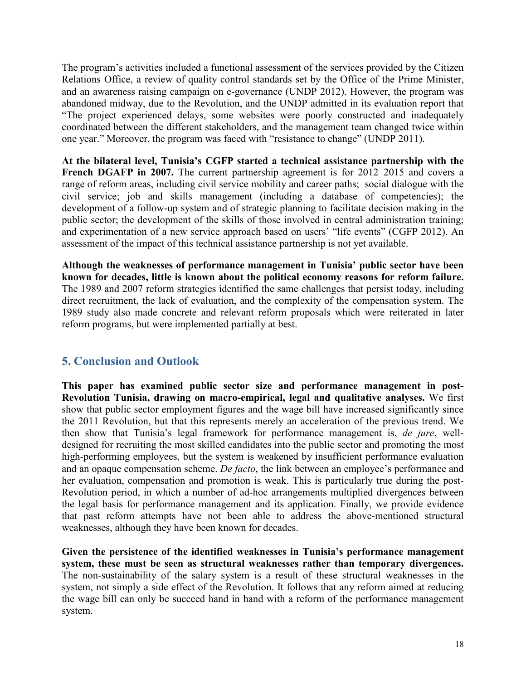The program's activities included a functional assessment of the services provided by the Citizen Relations Office, a review of quality control standards set by the Office of the Prime Minister, and an awareness raising campaign on e-governance (UNDP 2012). However, the program was abandoned midway, due to the Revolution, and the UNDP admitted in its evaluation report that "The project experienced delays, some websites were poorly constructed and inadequately coordinated between the different stakeholders, and the management team changed twice within one year." Moreover, the program was faced with "resistance to change" (UNDP 2011).

**At the bilateral level, Tunisia's CGFP started a technical assistance partnership with the French DGAFP in 2007.** The current partnership agreement is for 2012–2015 and covers a range of reform areas, including civil service mobility and career paths; social dialogue with the civil service; job and skills management (including a database of competencies); the development of a follow-up system and of strategic planning to facilitate decision making in the public sector; the development of the skills of those involved in central administration training; and experimentation of a new service approach based on users' "life events" (CGFP 2012). An assessment of the impact of this technical assistance partnership is not yet available.

**Although the weaknesses of performance management in Tunisia' public sector have been known for decades, little is known about the political economy reasons for reform failure.** The 1989 and 2007 reform strategies identified the same challenges that persist today, including direct recruitment, the lack of evaluation, and the complexity of the compensation system. The 1989 study also made concrete and relevant reform proposals which were reiterated in later reform programs, but were implemented partially at best.

#### **5. Conclusion and Outlook**

**This paper has examined public sector size and performance management in post-Revolution Tunisia, drawing on macro-empirical, legal and qualitative analyses.** We first show that public sector employment figures and the wage bill have increased significantly since the 2011 Revolution, but that this represents merely an acceleration of the previous trend. We then show that Tunisia's legal framework for performance management is, *de jure*, welldesigned for recruiting the most skilled candidates into the public sector and promoting the most high-performing employees, but the system is weakened by insufficient performance evaluation and an opaque compensation scheme. *De facto*, the link between an employee's performance and her evaluation, compensation and promotion is weak. This is particularly true during the post-Revolution period, in which a number of ad-hoc arrangements multiplied divergences between the legal basis for performance management and its application. Finally, we provide evidence that past reform attempts have not been able to address the above-mentioned structural weaknesses, although they have been known for decades.

**Given the persistence of the identified weaknesses in Tunisia's performance management system, these must be seen as structural weaknesses rather than temporary divergences.** The non-sustainability of the salary system is a result of these structural weaknesses in the system, not simply a side effect of the Revolution. It follows that any reform aimed at reducing the wage bill can only be succeed hand in hand with a reform of the performance management system.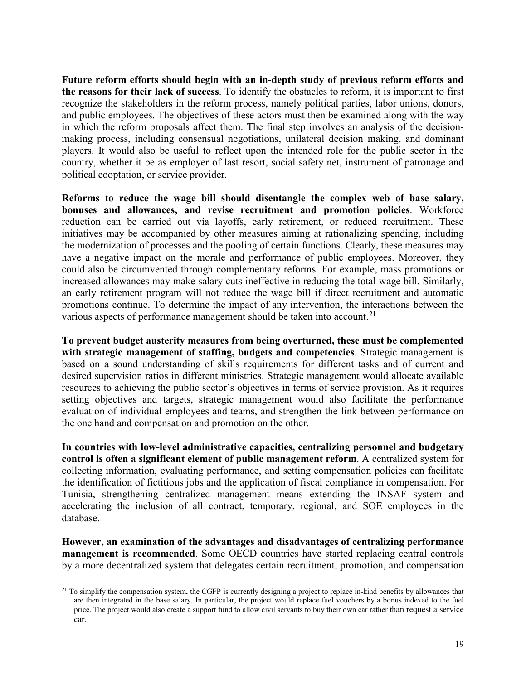**Future reform efforts should begin with an in-depth study of previous reform efforts and the reasons for their lack of success**. To identify the obstacles to reform, it is important to first recognize the stakeholders in the reform process, namely political parties, labor unions, donors, and public employees. The objectives of these actors must then be examined along with the way in which the reform proposals affect them. The final step involves an analysis of the decisionmaking process, including consensual negotiations, unilateral decision making, and dominant players. It would also be useful to reflect upon the intended role for the public sector in the country, whether it be as employer of last resort, social safety net, instrument of patronage and political cooptation, or service provider.

**Reforms to reduce the wage bill should disentangle the complex web of base salary, bonuses and allowances, and revise recruitment and promotion policies**. Workforce reduction can be carried out via layoffs, early retirement, or reduced recruitment. These initiatives may be accompanied by other measures aiming at rationalizing spending, including the modernization of processes and the pooling of certain functions. Clearly, these measures may have a negative impact on the morale and performance of public employees. Moreover, they could also be circumvented through complementary reforms. For example, mass promotions or increased allowances may make salary cuts ineffective in reducing the total wage bill. Similarly, an early retirement program will not reduce the wage bill if direct recruitment and automatic promotions continue. To determine the impact of any intervention, the interactions between the various aspects of performance management should be taken into account.<sup>[21](#page-20-0)</sup>

**To prevent budget austerity measures from being overturned, these must be complemented with strategic management of staffing, budgets and competencies**. Strategic management is based on a sound understanding of skills requirements for different tasks and of current and desired supervision ratios in different ministries. Strategic management would allocate available resources to achieving the public sector's objectives in terms of service provision. As it requires setting objectives and targets, strategic management would also facilitate the performance evaluation of individual employees and teams, and strengthen the link between performance on the one hand and compensation and promotion on the other.

**In countries with low-level administrative capacities, centralizing personnel and budgetary control is often a significant element of public management reform**. A centralized system for collecting information, evaluating performance, and setting compensation policies can facilitate the identification of fictitious jobs and the application of fiscal compliance in compensation. For Tunisia, strengthening centralized management means extending the INSAF system and accelerating the inclusion of all contract, temporary, regional, and SOE employees in the database.

**However, an examination of the advantages and disadvantages of centralizing performance management is recommended**. Some OECD countries have started replacing central controls by a more decentralized system that delegates certain recruitment, promotion, and compensation

<span id="page-20-0"></span> $2<sup>1</sup>$  To simplify the compensation system, the CGFP is currently designing a project to replace in-kind benefits by allowances that are then integrated in the base salary. In particular, the project would replace fuel vouchers by a bonus indexed to the fuel price. The project would also create a support fund to allow civil servants to buy their own car rather than request a service car.  $\overline{a}$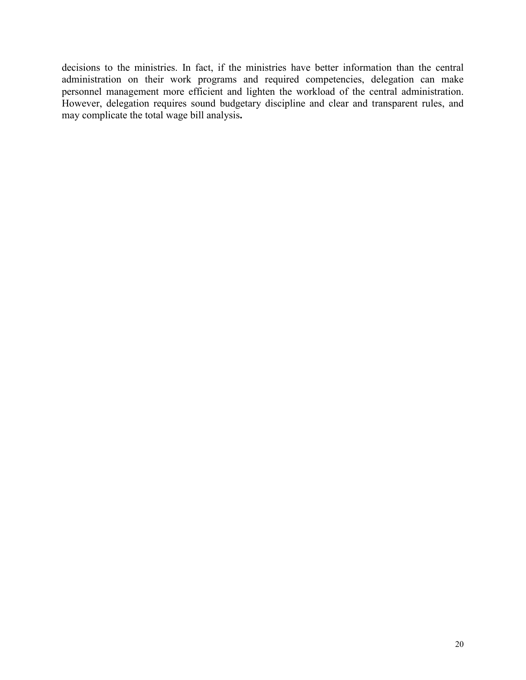decisions to the ministries. In fact, if the ministries have better information than the central administration on their work programs and required competencies, delegation can make personnel management more efficient and lighten the workload of the central administration. However, delegation requires sound budgetary discipline and clear and transparent rules, and may complicate the total wage bill analysis**.**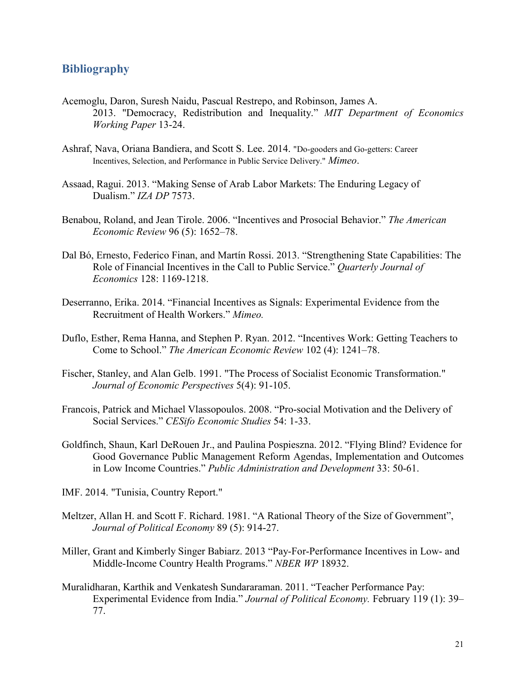#### **Bibliography**

- Acemoglu, Daron, Suresh Naidu, Pascual Restrepo, and Robinson, James A. 2013. "Democracy, Redistribution and Inequality." *MIT Department of Economics Working Paper* 13-24.
- Ashraf, Nava, Oriana Bandiera, and Scott S. Lee. 2014. "Do-gooders and Go-getters: Career Incentives, Selection, and Performance in Public Service Delivery." *Mimeo*.
- Assaad, Ragui. 2013. "Making Sense of Arab Labor Markets: The Enduring Legacy of Dualism." *IZA DP* 7573.
- Benabou, Roland, and Jean Tirole. 2006. "Incentives and Prosocial Behavior." *The American Economic Review* 96 (5): 1652–78.
- Dal Bó, Ernesto, Federico [Finan,](http://www.nber.org/people/frederico_finan) and Martín Rossi. 2013. "Strengthening State Capabilities: The Role of Financial Incentives in the Call to Public Service." *Quarterly Journal of Economics* 128: 1169-1218.
- Deserranno, Erika. 2014. "Financial Incentives as Signals: Experimental Evidence from the Recruitment of Health Workers." *Mimeo.*
- Duflo, Esther, Rema Hanna, and Stephen P. Ryan. 2012. "Incentives Work: Getting Teachers to Come to School." *The American Economic Review* 102 (4): 1241–78.
- Fischer, Stanley, and Alan Gelb. 1991. "The Process of Socialist Economic Transformation." *Journal of Economic Perspectives* 5(4): 91-105.
- Francois, Patrick and Michael Vlassopoulos. 2008. "Pro-social Motivation and the Delivery of Social Services." *CESifo Economic Studies* 54: 1-33.
- Goldfinch, Shaun, Karl DeRouen Jr., and Paulina Pospieszna. 2012. "Flying Blind? Evidence for Good Governance Public Management Reform Agendas, Implementation and Outcomes in Low Income Countries." *Public Administration and Development* 33: 50-61.
- IMF. 2014. "Tunisia, Country Report."
- Meltzer, Allan H. and Scott F. Richard. 1981. "A Rational Theory of the Size of Government", *[Journal of Political Economy](https://ideas.repec.org/s/ucp/jpolec.html)* 89 (5): 914-27.
- Miller, Grant and Kimberly Singer Babiarz. 2013 "Pay-For-Performance Incentives in Low- and Middle-Income Country Health Programs." *NBER WP* 18932.
- Muralidharan, Karthik and Venkatesh Sundararaman. 2011. "Teacher Performance Pay: Experimental Evidence from India." *Journal of Political Economy.* February 119 (1): 39– 77.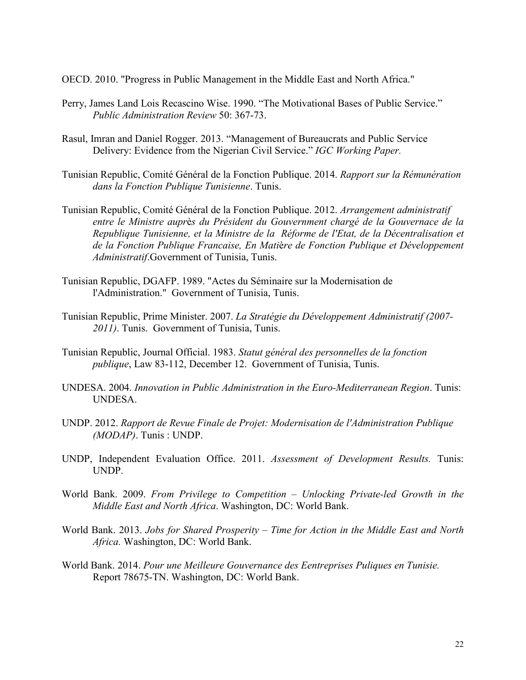OECD. 2010. "Progress in Public Management in the Middle East and North Africa."

- Perry, James Land Lois Recascino Wise. 1990. "The Motivational Bases of Public Service." *Public Administration Review* 50: 367-73.
- Rasul, Imran and Daniel Rogger. 2013. "Management of Bureaucrats and Public Service Delivery: Evidence from the Nigerian Civil Service." *IGC Working Paper.*
- Tunisian Republic, Comité Général de la Fonction Publique. 2014. *Rapport sur la Rémunération dans la Fonction Publique Tunisienne*. Tunis.
- Tunisian Republic, Comité Général de la Fonction Publique. 2012. *Arrangement administratif entre le Ministre aupr*è*s du Président du Gouvernment chargé de la Gouvernace de la Republique Tunisienne, et la Ministre de la Réforme de l'Etat, de la Décentralisation et de la Fonction Publique Francaise, En Mati*è*re de Fonction Publique et Développement Administratif*.Government of Tunisia, Tunis.
- Tunisian Republic, DGAFP. 1989. "Actes du Séminaire sur la Modernisation de l'Administration." Government of Tunisia, Tunis.
- Tunisian Republic, Prime Minister. 2007. *La Stratégie du Développement Administratif (2007- 2011)*. Tunis. Government of Tunisia, Tunis.
- Tunisian Republic, Journal Official. 1983. *Statut général des personnelles de la fonction publique*, Law 83-112, December 12. Government of Tunisia, Tunis.
- UNDESA. 2004. *Innovation in Public Administration in the Euro-Mediterranean Region*. Tunis: UNDESA.
- UNDP. 2012. *Rapport de Revue Finale de Projet: Modernisation de l'Administration Publique (MODAP)*. Tunis : UNDP.
- UNDP, Independent Evaluation Office. 2011. *Assessment of Development Results.* Tunis: UNDP.
- World Bank. 2009. *From Privilege to Competition – Unlocking Private-led Growth in the Middle East and North Africa*. Washington, DC: World Bank.
- World Bank. 2013. *Jobs for Shared Prosperity – Time for Action in the Middle East and North Africa.* Washington, DC: World Bank.
- World Bank. 2014. *Pour une Meilleure Gouvernance des Eentreprises Puliques en Tunisie.* Report 78675-TN. Washington, DC: World Bank.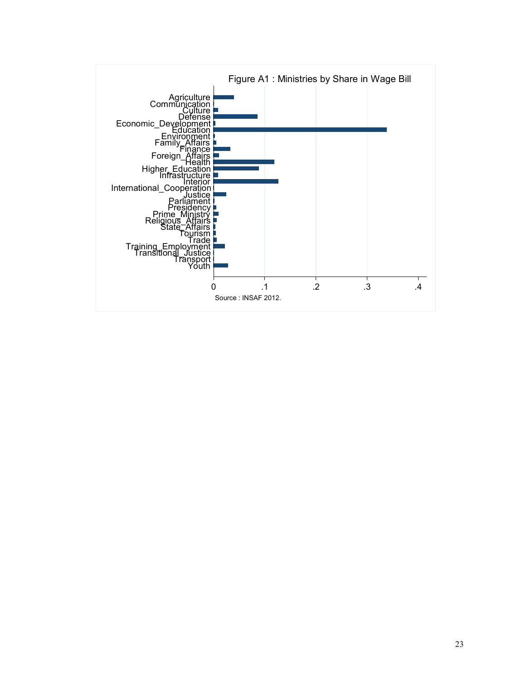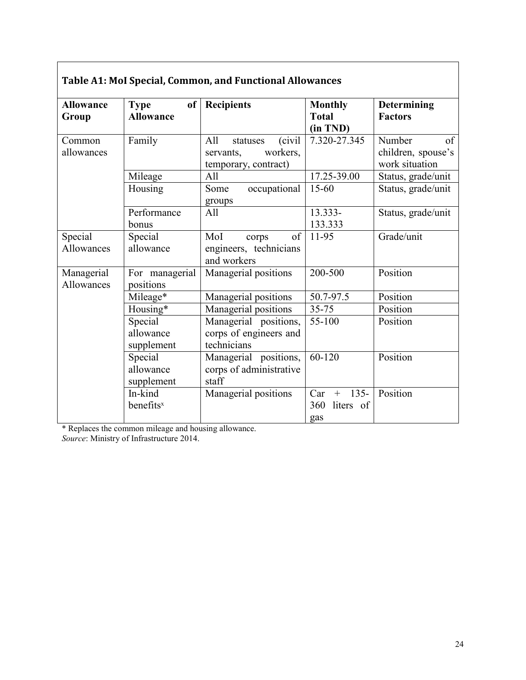| <b>Allowance</b>         | of<br><b>Type</b>           | <b>Recipients</b>                     | <b>Monthly</b>           | <b>Determining</b> |
|--------------------------|-----------------------------|---------------------------------------|--------------------------|--------------------|
| Group                    | <b>Allowance</b>            |                                       | <b>Total</b>             | <b>Factors</b>     |
| Common                   | Family                      | (civil<br>All<br>statuses             | (in TND)<br>7.320-27.345 | Number<br>of       |
| allowances               |                             | workers.<br>servants,                 |                          | children, spouse's |
|                          |                             | temporary, contract)                  |                          | work situation     |
|                          | Mileage                     | All                                   | 17.25-39.00              | Status, grade/unit |
|                          | Housing                     | occupational<br>Some                  | $15 - 60$                | Status, grade/unit |
|                          |                             | groups                                |                          |                    |
|                          | Performance                 | All                                   | 13.333-                  | Status, grade/unit |
|                          | bonus                       |                                       | 133.333                  |                    |
| Special                  | Special                     | of<br>MoI<br>corps                    | 11-95                    | Grade/unit         |
| Allowances               | allowance                   | engineers, technicians<br>and workers |                          |                    |
| Managerial<br>Allowances | For managerial<br>positions | Managerial positions                  | 200-500                  | Position           |
|                          | Mileage*                    | Managerial positions                  | 50.7-97.5                | Position           |
|                          | Housing*                    | Managerial positions                  | 35-75                    | Position           |
|                          | Special                     | Managerial positions,                 | 55-100                   | Position           |
|                          | allowance                   | corps of engineers and                |                          |                    |
|                          | supplement                  | technicians                           |                          |                    |
|                          | Special                     | Managerial positions,                 | 60-120                   | Position           |
|                          | allowance                   | corps of administrative               |                          |                    |
|                          | supplement                  | staff                                 |                          |                    |
|                          | In-kind                     | Managerial positions                  | $135 -$<br>Car<br>$+$    | Position           |
|                          | benefits <sup>x</sup>       |                                       | 360<br>liters of         |                    |
|                          |                             |                                       | gas                      |                    |

\* Replaces the common mileage and housing allowance.

*Source*: Ministry of Infrastructure 2014.